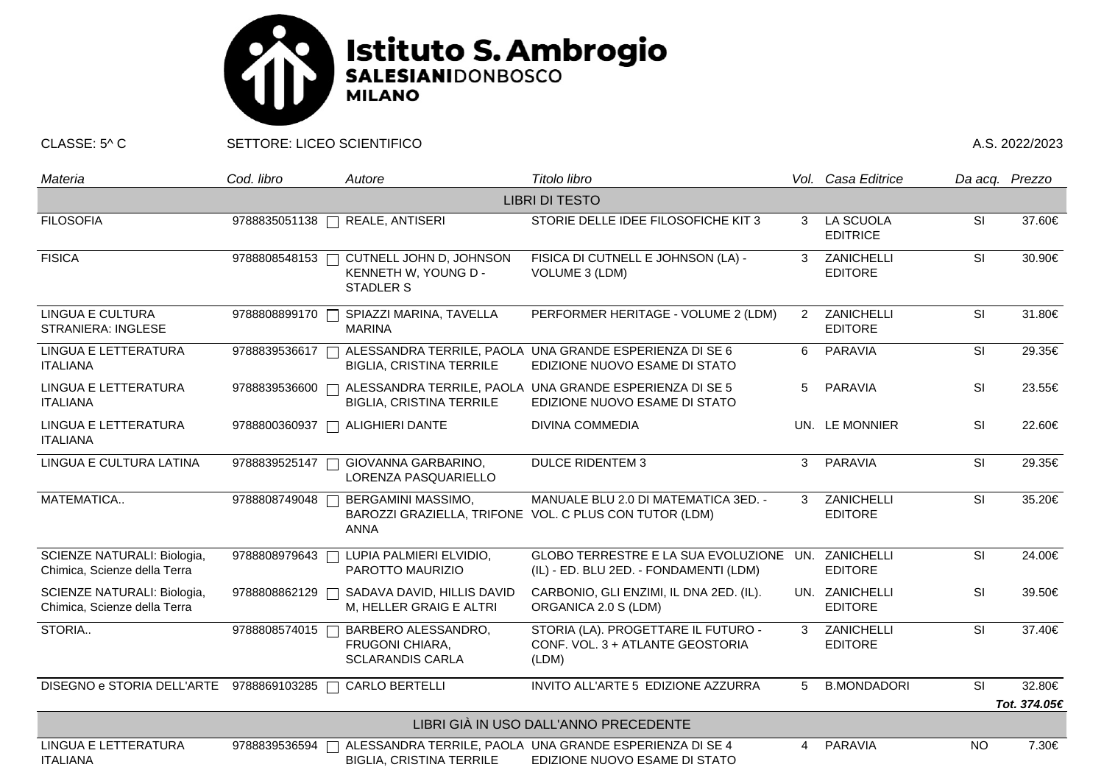

CLASSE: 5^ C SETTORE: LICEO SCIENTIFICO A.S. 2022/2023

| Materia                                                     | Cod. libro    | Autore                                                                   | Titolo libro                                                                                   |   | Vol. Casa Editrice               | Da acq. Prezzo           |              |  |  |  |  |
|-------------------------------------------------------------|---------------|--------------------------------------------------------------------------|------------------------------------------------------------------------------------------------|---|----------------------------------|--------------------------|--------------|--|--|--|--|
| <b>LIBRI DI TESTO</b>                                       |               |                                                                          |                                                                                                |   |                                  |                          |              |  |  |  |  |
| <b>FILOSOFIA</b>                                            | 9788835051138 | <b>REALE, ANTISERI</b>                                                   | STORIE DELLE IDEE FILOSOFICHE KIT 3                                                            | 3 | LA SCUOLA<br><b>EDITRICE</b>     | SI                       | 37.60€       |  |  |  |  |
| <b>FISICA</b>                                               | 9788808548153 | CUTNELL JOHN D, JOHNSON<br>KENNETH W, YOUNG D -<br><b>STADLER S</b>      | FISICA DI CUTNELL E JOHNSON (LA) -<br>VOLUME 3 (LDM)                                           | 3 | ZANICHELLI<br><b>EDITORE</b>     | SI                       | 30.90€       |  |  |  |  |
| <b>LINGUA E CULTURA</b><br><b>STRANIERA: INGLESE</b>        | 9788808899170 | SPIAZZI MARINA, TAVELLA<br><b>MARINA</b>                                 | PERFORMER HERITAGE - VOLUME 2 (LDM)                                                            | 2 | ZANICHELLI<br><b>EDITORE</b>     | $\overline{\mathsf{SI}}$ | 31.80€       |  |  |  |  |
| LINGUA E LETTERATURA<br><b>ITALIANA</b>                     | 9788839536617 | <b>BIGLIA, CRISTINA TERRILE</b>                                          | ALESSANDRA TERRILE, PAOLA UNA GRANDE ESPERIENZA DI SE 6<br>EDIZIONE NUOVO ESAME DI STATO       | 6 | <b>PARAVIA</b>                   | SI                       | 29.35€       |  |  |  |  |
| LINGUA E LETTERATURA<br><b>ITALIANA</b>                     | 9788839536600 | <b>BIGLIA, CRISTINA TERRILE</b>                                          | ALESSANDRA TERRILE, PAOLA UNA GRANDE ESPERIENZA DI SE 5<br>EDIZIONE NUOVO ESAME DI STATO       | 5 | <b>PARAVIA</b>                   | SI                       | 23.55€       |  |  |  |  |
| LINGUA E LETTERATURA<br><b>ITALIANA</b>                     | 9788800360937 | <b>ALIGHIERI DANTE</b>                                                   | <b>DIVINA COMMEDIA</b>                                                                         |   | UN. LE MONNIER                   | <b>SI</b>                | 22.60€       |  |  |  |  |
| LINGUA E CULTURA LATINA                                     | 9788839525147 | GIOVANNA GARBARINO,<br>LORENZA PASQUARIELLO                              | <b>DULCE RIDENTEM 3</b>                                                                        | 3 | <b>PARAVIA</b>                   | <b>SI</b>                | 29.35€       |  |  |  |  |
| MATEMATICA                                                  | 9788808749048 | BERGAMINI MASSIMO,<br><b>ANNA</b>                                        | MANUALE BLU 2.0 DI MATEMATICA 3ED. -<br>BAROZZI GRAZIELLA, TRIFONE VOL. C PLUS CON TUTOR (LDM) | 3 | ZANICHELLI<br><b>EDITORE</b>     | $\overline{\mathsf{SI}}$ | 35.20€       |  |  |  |  |
| SCIENZE NATURALI: Biologia,<br>Chimica, Scienze della Terra | 9788808979643 | LUPIA PALMIERI ELVIDIO,<br>PAROTTO MAURIZIO                              | GLOBO TERRESTRE E LA SUA EVOLUZIONE<br>(IL) - ED. BLU 2ED. - FONDAMENTI (LDM)                  |   | UN. ZANICHELLI<br><b>EDITORE</b> | SI                       | 24.00€       |  |  |  |  |
| SCIENZE NATURALI: Biologia,<br>Chimica, Scienze della Terra | 9788808862129 | SADAVA DAVID, HILLIS DAVID<br>M, HELLER GRAIG E ALTRI                    | CARBONIO, GLI ENZIMI, IL DNA 2ED. (IL).<br>ORGANICA 2.0 S (LDM)                                |   | UN. ZANICHELLI<br><b>EDITORE</b> | SI                       | 39.50€       |  |  |  |  |
| STORIA                                                      | 9788808574015 | BARBERO ALESSANDRO,<br><b>FRUGONI CHIARA,</b><br><b>SCLARANDIS CARLA</b> | STORIA (LA). PROGETTARE IL FUTURO -<br>CONF. VOL. 3 + ATLANTE GEOSTORIA<br>(LDM)               | 3 | ZANICHELLI<br><b>EDITORE</b>     | SI                       | 37.40€       |  |  |  |  |
| DISEGNO e STORIA DELL'ARTE 9788869103285 □                  |               | CARLO BERTELLI                                                           | INVITO ALL'ARTE 5 EDIZIONE AZZURRA                                                             | 5 | <b>B.MONDADORI</b>               | <b>SI</b>                | 32.80€       |  |  |  |  |
|                                                             |               |                                                                          |                                                                                                |   |                                  |                          | Tot. 374.05€ |  |  |  |  |
| LIBRI GIÀ IN USO DALL'ANNO PRECEDENTE                       |               |                                                                          |                                                                                                |   |                                  |                          |              |  |  |  |  |
| LINGUA E LETTERATURA<br><b>ITALIANA</b>                     | 9788839536594 | <b>BIGLIA, CRISTINA TERRILE</b>                                          | ALESSANDRA TERRILE, PAOLA UNA GRANDE ESPERIENZA DI SE 4<br>EDIZIONE NUOVO ESAME DI STATO       | 4 | <b>PARAVIA</b>                   | <b>NO</b>                | 7.30€        |  |  |  |  |